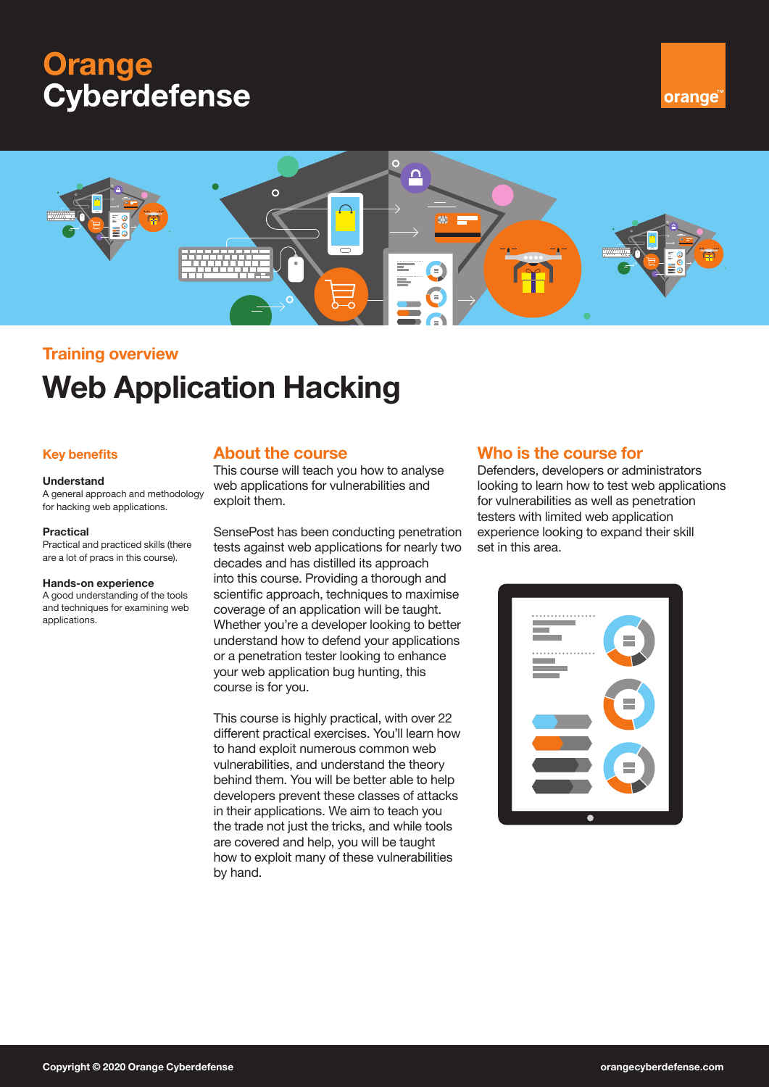# **Orange Cyberdefense**





# **Training overview**

# **Web Application Hacking**

### **Key benefits**

#### **Understand**

A general approach and methodology for hacking web applications.

#### **Practical**

Practical and practiced skills (there are a lot of pracs in this course).

#### **Hands-on experience**

A good understanding of the tools and techniques for examining web applications.

## **About the course**

This course will teach you how to analyse web applications for vulnerabilities and exploit them.

SensePost has been conducting penetration tests against web applications for nearly two decades and has distilled its approach into this course. Providing a thorough and scientific approach, techniques to maximise coverage of an application will be taught. Whether you're a developer looking to better understand how to defend your applications or a penetration tester looking to enhance your web application bug hunting, this course is for you.

This course is highly practical, with over 22 different practical exercises. You'll learn how to hand exploit numerous common web vulnerabilities, and understand the theory behind them. You will be better able to help developers prevent these classes of attacks in their applications. We aim to teach you the trade not just the tricks, and while tools are covered and help, you will be taught how to exploit many of these vulnerabilities by hand.

## **Who is the course for**

Defenders, developers or administrators looking to learn how to test web applications for vulnerabilities as well as penetration testers with limited web application experience looking to expand their skill set in this area.